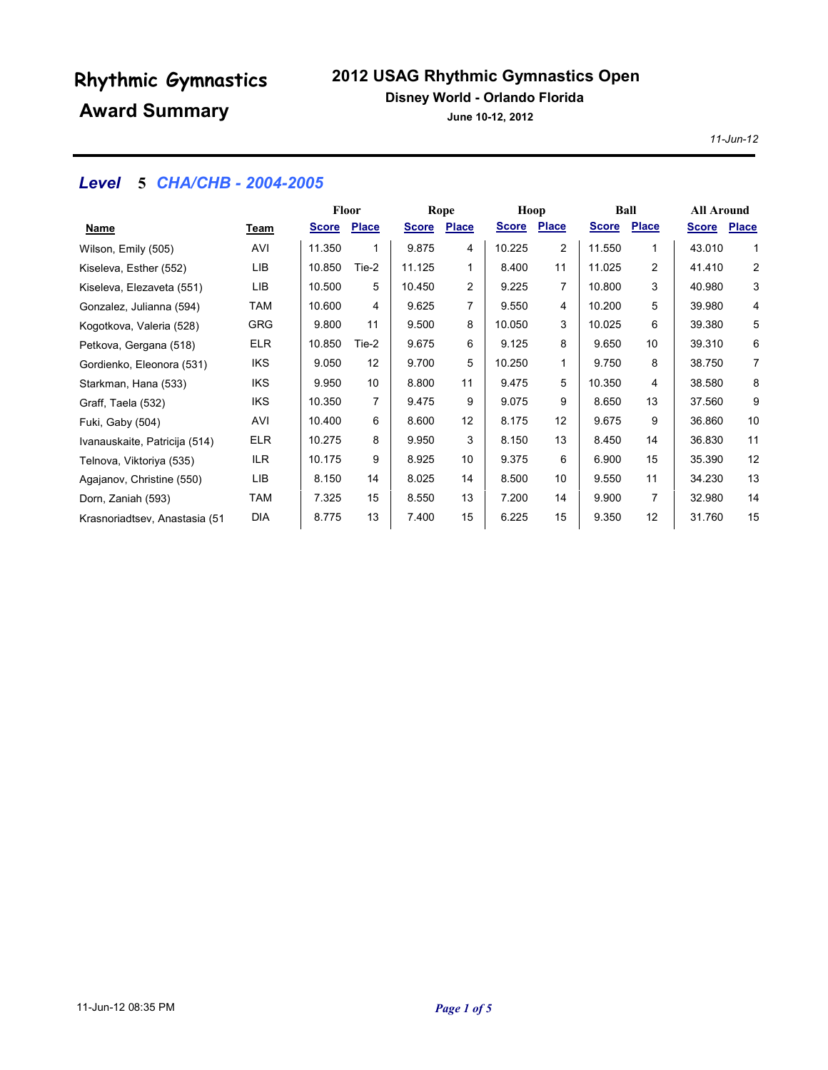## **2012 USAG Rhythmic Gymnastics Open**

### **Disney World - Orlando Florida**

**June 10-12, 2012**

*11-Jun-12*

## *Level* **5** *CHA/CHB - 2004-2005*

|                               |            | <b>Floor</b> |              |              | Rope         |              | Hoop         |              | Ball         |              | <b>All Around</b> |
|-------------------------------|------------|--------------|--------------|--------------|--------------|--------------|--------------|--------------|--------------|--------------|-------------------|
| Name                          | Team       | <b>Score</b> | <b>Place</b> | <b>Score</b> | <b>Place</b> | <b>Score</b> | <b>Place</b> | <b>Score</b> | <b>Place</b> | <b>Score</b> | <b>Place</b>      |
| Wilson, Emily (505)           | AVI        | 11.350       | 1            | 9.875        | 4            | 10.225       | 2            | 11.550       | 1            | 43.010       | $\mathbf{1}$      |
| Kiseleva, Esther (552)        | LIB        | 10.850       | Tie-2        | 11.125       |              | 8.400        | 11           | 11.025       | 2            | 41.410       | $\mathbf{2}$      |
| Kiseleva, Elezaveta (551)     | LIB        | 10.500       | 5            | 10.450       | 2            | 9.225        | 7            | 10.800       | 3            | 40.980       | 3                 |
| Gonzalez, Julianna (594)      | <b>TAM</b> | 10.600       | 4            | 9.625        |              | 9.550        | 4            | 10.200       | 5            | 39.980       | 4                 |
| Kogotkova, Valeria (528)      | GRG        | 9.800        | 11           | 9.500        | 8            | 10.050       | 3            | 10.025       | 6            | 39.380       | 5                 |
| Petkova, Gergana (518)        | <b>ELR</b> | 10.850       | Tie-2        | 9.675        | 6            | 9.125        | 8            | 9.650        | 10           | 39.310       | 6                 |
| Gordienko, Eleonora (531)     | <b>IKS</b> | 9.050        | 12           | 9.700        | 5            | 10.250       | 1            | 9.750        | 8            | 38.750       | $\overline{7}$    |
| Starkman, Hana (533)          | <b>IKS</b> | 9.950        | 10           | 8.800        | 11           | 9.475        | 5            | 10.350       | 4            | 38.580       | 8                 |
| Graff, Taela (532)            | <b>IKS</b> | 10.350       | 7            | 9.475        | 9            | 9.075        | 9            | 8.650        | 13           | 37.560       | 9                 |
| Fuki, Gaby (504)              | AVI        | 10.400       | 6            | 8.600        | 12           | 8.175        | 12           | 9.675        | 9            | 36.860       | 10                |
| Ivanauskaite, Patricija (514) | <b>ELR</b> | 10.275       | 8            | 9.950        | 3            | 8.150        | 13           | 8.450        | 14           | 36.830       | 11                |
| Telnova, Viktoriya (535)      | ILR.       | 10.175       | 9            | 8.925        | 10           | 9.375        | 6            | 6.900        | 15           | 35.390       | 12                |
| Agajanov, Christine (550)     | LIB        | 8.150        | 14           | 8.025        | 14           | 8.500        | 10           | 9.550        | 11           | 34.230       | 13                |
| Dorn, Zaniah (593)            | TAM        | 7.325        | 15           | 8.550        | 13           | 7.200        | 14           | 9.900        | 7            | 32.980       | 14                |
| Krasnoriadtsev, Anastasia (51 | <b>DIA</b> | 8.775        | 13           | 7.400        | 15           | 6.225        | 15           | 9.350        | 12           | 31.760       | 15                |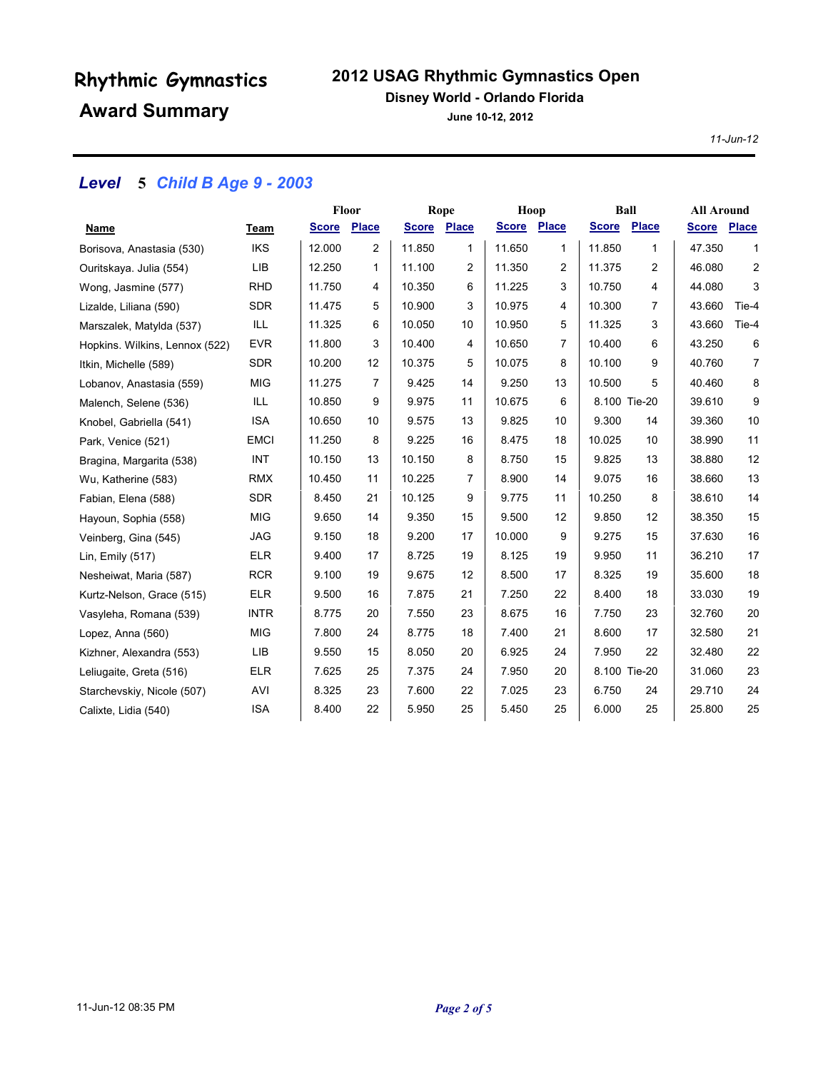## **2012 USAG Rhythmic Gymnastics Open**

#### **Disney World - Orlando Florida**

**June 10-12, 2012**

*11-Jun-12*

## *Level* **5** *Child B Age 9 - 2003*

|                                |             | Floor       |    | Rope         |       | Hoop        |    | Ball         |                | <b>All Around</b> |                |
|--------------------------------|-------------|-------------|----|--------------|-------|-------------|----|--------------|----------------|-------------------|----------------|
| Name                           | Team        | Score Place |    | <b>Score</b> | Place | Score Place |    | <b>Score</b> | Place          | <b>Score</b>      | <b>Place</b>   |
| Borisova, Anastasia (530)      | <b>IKS</b>  | 12.000      | 2  | 11.850       | 1     | 11.650      | 1  | 11.850       | 1              | 47.350            | 1              |
| Ouritskaya. Julia (554)        | LIB         | 12.250      | 1  | 11.100       | 2     | 11.350      | 2  | 11.375       | 2              | 46.080            | $\overline{2}$ |
| Wong, Jasmine (577)            | <b>RHD</b>  | 11.750      | 4  | 10.350       | 6     | 11.225      | 3  | 10.750       | 4              | 44.080            | 3              |
| Lizalde, Liliana (590)         | <b>SDR</b>  | 11.475      | 5  | 10.900       | 3     | 10.975      | 4  | 10.300       | $\overline{7}$ | 43.660            | Tie-4          |
| Marszalek, Matylda (537)       | ILL         | 11.325      | 6  | 10.050       | 10    | 10.950      | 5  | 11.325       | 3              | 43.660            | Tie-4          |
| Hopkins. Wilkins, Lennox (522) | <b>EVR</b>  | 11.800      | 3  | 10.400       | 4     | 10.650      | 7  | 10.400       | 6              | 43.250            | 6              |
| Itkin, Michelle (589)          | <b>SDR</b>  | 10.200      | 12 | 10.375       | 5     | 10.075      | 8  | 10.100       | 9              | 40.760            | $\overline{7}$ |
| Lobanov, Anastasia (559)       | <b>MIG</b>  | 11.275      | 7  | 9.425        | 14    | 9.250       | 13 | 10.500       | 5              | 40.460            | 8              |
| Malench, Selene (536)          | ILL         | 10.850      | 9  | 9.975        | 11    | 10.675      | 6  |              | 8.100 Tie-20   | 39.610            | 9              |
| Knobel, Gabriella (541)        | <b>ISA</b>  | 10.650      | 10 | 9.575        | 13    | 9.825       | 10 | 9.300        | 14             | 39.360            | 10             |
| Park, Venice (521)             | <b>EMCI</b> | 11.250      | 8  | 9.225        | 16    | 8.475       | 18 | 10.025       | 10             | 38.990            | 11             |
| Bragina, Margarita (538)       | <b>INT</b>  | 10.150      | 13 | 10.150       | 8     | 8.750       | 15 | 9.825        | 13             | 38.880            | 12             |
| Wu, Katherine (583)            | <b>RMX</b>  | 10.450      | 11 | 10.225       | 7     | 8.900       | 14 | 9.075        | 16             | 38.660            | 13             |
| Fabian, Elena (588)            | <b>SDR</b>  | 8.450       | 21 | 10.125       | 9     | 9.775       | 11 | 10.250       | 8              | 38.610            | 14             |
| Hayoun, Sophia (558)           | <b>MIG</b>  | 9.650       | 14 | 9.350        | 15    | 9.500       | 12 | 9.850        | 12             | 38.350            | 15             |
| Veinberg, Gina (545)           | <b>JAG</b>  | 9.150       | 18 | 9.200        | 17    | 10.000      | 9  | 9.275        | 15             | 37.630            | 16             |
| Lin, Emily (517)               | <b>ELR</b>  | 9.400       | 17 | 8.725        | 19    | 8.125       | 19 | 9.950        | 11             | 36.210            | 17             |
| Nesheiwat, Maria (587)         | <b>RCR</b>  | 9.100       | 19 | 9.675        | 12    | 8.500       | 17 | 8.325        | 19             | 35.600            | 18             |
| Kurtz-Nelson, Grace (515)      | <b>ELR</b>  | 9.500       | 16 | 7.875        | 21    | 7.250       | 22 | 8.400        | 18             | 33.030            | 19             |
| Vasyleha, Romana (539)         | <b>INTR</b> | 8.775       | 20 | 7.550        | 23    | 8.675       | 16 | 7.750        | 23             | 32.760            | 20             |
| Lopez, Anna (560)              | MIG         | 7.800       | 24 | 8.775        | 18    | 7.400       | 21 | 8.600        | 17             | 32.580            | 21             |
| Kizhner, Alexandra (553)       | LIB         | 9.550       | 15 | 8.050        | 20    | 6.925       | 24 | 7.950        | 22             | 32.480            | 22             |
| Leliugaite, Greta (516)        | <b>ELR</b>  | 7.625       | 25 | 7.375        | 24    | 7.950       | 20 |              | 8.100 Tie-20   | 31.060            | 23             |
| Starchevskiy, Nicole (507)     | AVI         | 8.325       | 23 | 7.600        | 22    | 7.025       | 23 | 6.750        | 24             | 29.710            | 24             |
| Calixte, Lidia (540)           | <b>ISA</b>  | 8.400       | 22 | 5.950        | 25    | 5.450       | 25 | 6.000        | 25             | 25.800            | 25             |
|                                |             |             |    |              |       |             |    |              |                |                   |                |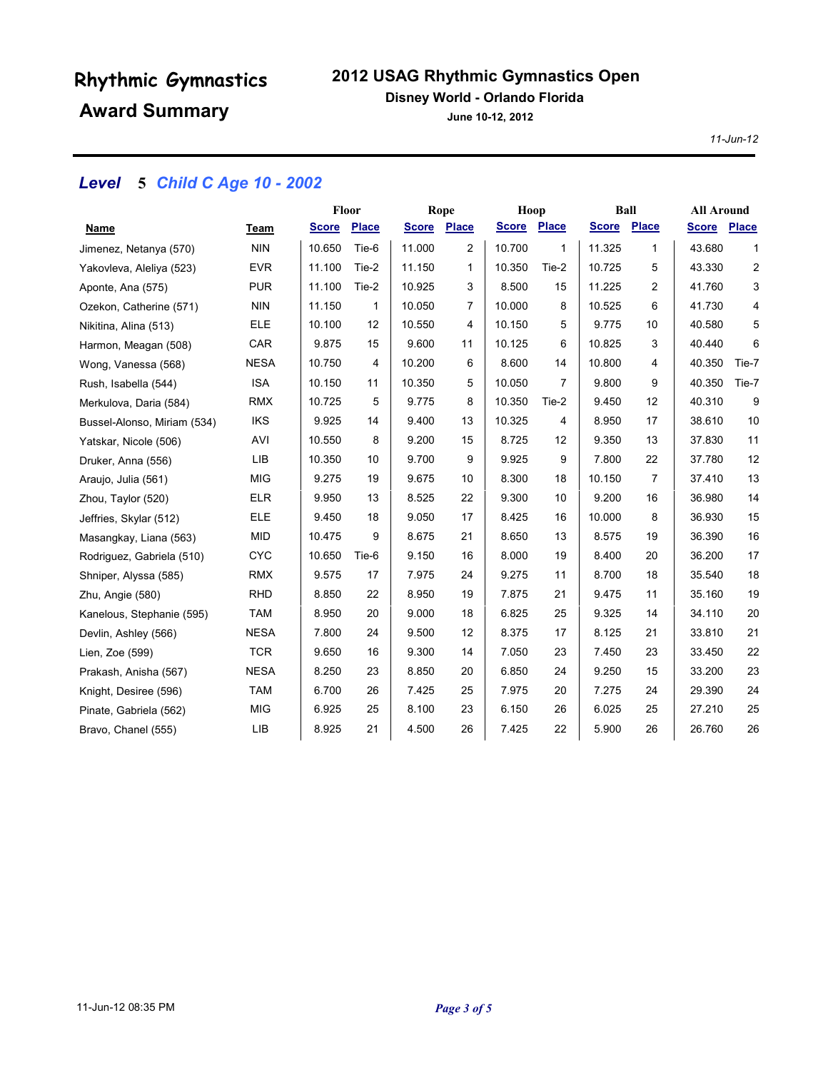## **2012 USAG Rhythmic Gymnastics Open**

#### **Disney World - Orlando Florida**

**June 10-12, 2012**

*11-Jun-12*

## *Level* **5** *Child C Age 10 - 2002*

|                             |             | Floor        |              | Rope         |       | Hoop         |              | <b>Ball</b>  |                | <b>All Around</b> |              |
|-----------------------------|-------------|--------------|--------------|--------------|-------|--------------|--------------|--------------|----------------|-------------------|--------------|
| Name                        | Team        | <b>Score</b> | <b>Place</b> | <b>Score</b> | Place | <u>Score</u> | <b>Place</b> | <b>Score</b> | Place          | <b>Score</b>      | <b>Place</b> |
| Jimenez, Netanya (570)      | <b>NIN</b>  | 10.650       | Tie-6        | 11.000       | 2     | 10.700       | 1            | 11.325       | 1              | 43.680            | 1            |
| Yakovleva, Aleliya (523)    | <b>EVR</b>  | 11.100       | Tie-2        | 11.150       | 1     | 10.350       | Tie-2        | 10.725       | 5              | 43.330            | 2            |
| Aponte, Ana (575)           | <b>PUR</b>  | 11.100       | Tie-2        | 10.925       | 3     | 8.500        | 15           | 11.225       | $\overline{2}$ | 41.760            | 3            |
| Ozekon, Catherine (571)     | <b>NIN</b>  | 11.150       | 1            | 10.050       | 7     | 10.000       | 8            | 10.525       | 6              | 41.730            | 4            |
| Nikitina, Alina (513)       | <b>ELE</b>  | 10.100       | 12           | 10.550       | 4     | 10.150       | 5            | 9.775        | 10             | 40.580            | 5            |
| Harmon, Meagan (508)        | CAR         | 9.875        | 15           | 9.600        | 11    | 10.125       | 6            | 10.825       | 3              | 40.440            | 6            |
| Wong, Vanessa (568)         | <b>NESA</b> | 10.750       | 4            | 10.200       | 6     | 8.600        | 14           | 10.800       | 4              | 40.350            | Tie-7        |
| Rush, Isabella (544)        | <b>ISA</b>  | 10.150       | 11           | 10.350       | 5     | 10.050       | 7            | 9.800        | 9              | 40.350            | Tie-7        |
| Merkulova, Daria (584)      | <b>RMX</b>  | 10.725       | 5            | 9.775        | 8     | 10.350       | Tie-2        | 9.450        | 12             | 40.310            | 9            |
| Bussel-Alonso, Miriam (534) | <b>IKS</b>  | 9.925        | 14           | 9.400        | 13    | 10.325       | 4            | 8.950        | 17             | 38.610            | 10           |
| Yatskar, Nicole (506)       | AVI         | 10.550       | 8            | 9.200        | 15    | 8.725        | 12           | 9.350        | 13             | 37.830            | 11           |
| Druker, Anna (556)          | <b>LIB</b>  | 10.350       | 10           | 9.700        | 9     | 9.925        | 9            | 7.800        | 22             | 37.780            | 12           |
| Araujo, Julia (561)         | <b>MIG</b>  | 9.275        | 19           | 9.675        | 10    | 8.300        | 18           | 10.150       | 7              | 37.410            | 13           |
| Zhou, Taylor (520)          | <b>ELR</b>  | 9.950        | 13           | 8.525        | 22    | 9.300        | 10           | 9.200        | 16             | 36.980            | 14           |
| Jeffries, Skylar (512)      | <b>ELE</b>  | 9.450        | 18           | 9.050        | 17    | 8.425        | 16           | 10.000       | 8              | 36.930            | 15           |
| Masangkay, Liana (563)      | <b>MID</b>  | 10.475       | 9            | 8.675        | 21    | 8.650        | 13           | 8.575        | 19             | 36.390            | 16           |
| Rodriguez, Gabriela (510)   | <b>CYC</b>  | 10.650       | Tie-6        | 9.150        | 16    | 8.000        | 19           | 8.400        | 20             | 36.200            | 17           |
| Shniper, Alyssa (585)       | <b>RMX</b>  | 9.575        | 17           | 7.975        | 24    | 9.275        | 11           | 8.700        | 18             | 35.540            | 18           |
| Zhu, Angie (580)            | <b>RHD</b>  | 8.850        | 22           | 8.950        | 19    | 7.875        | 21           | 9.475        | 11             | 35.160            | 19           |
| Kanelous, Stephanie (595)   | <b>TAM</b>  | 8.950        | 20           | 9.000        | 18    | 6.825        | 25           | 9.325        | 14             | 34.110            | 20           |
| Devlin, Ashley (566)        | <b>NESA</b> | 7.800        | 24           | 9.500        | 12    | 8.375        | 17           | 8.125        | 21             | 33.810            | 21           |
| Lien, Zoe (599)             | <b>TCR</b>  | 9.650        | 16           | 9.300        | 14    | 7.050        | 23           | 7.450        | 23             | 33.450            | 22           |
| Prakash, Anisha (567)       | <b>NESA</b> | 8.250        | 23           | 8.850        | 20    | 6.850        | 24           | 9.250        | 15             | 33.200            | 23           |
| Knight, Desiree (596)       | <b>TAM</b>  | 6.700        | 26           | 7.425        | 25    | 7.975        | 20           | 7.275        | 24             | 29.390            | 24           |
| Pinate, Gabriela (562)      | <b>MIG</b>  | 6.925        | 25           | 8.100        | 23    | 6.150        | 26           | 6.025        | 25             | 27.210            | 25           |
| Bravo, Chanel (555)         | LIB         | 8.925        | 21           | 4.500        | 26    | 7.425        | 22           | 5.900        | 26             | 26.760            | 26           |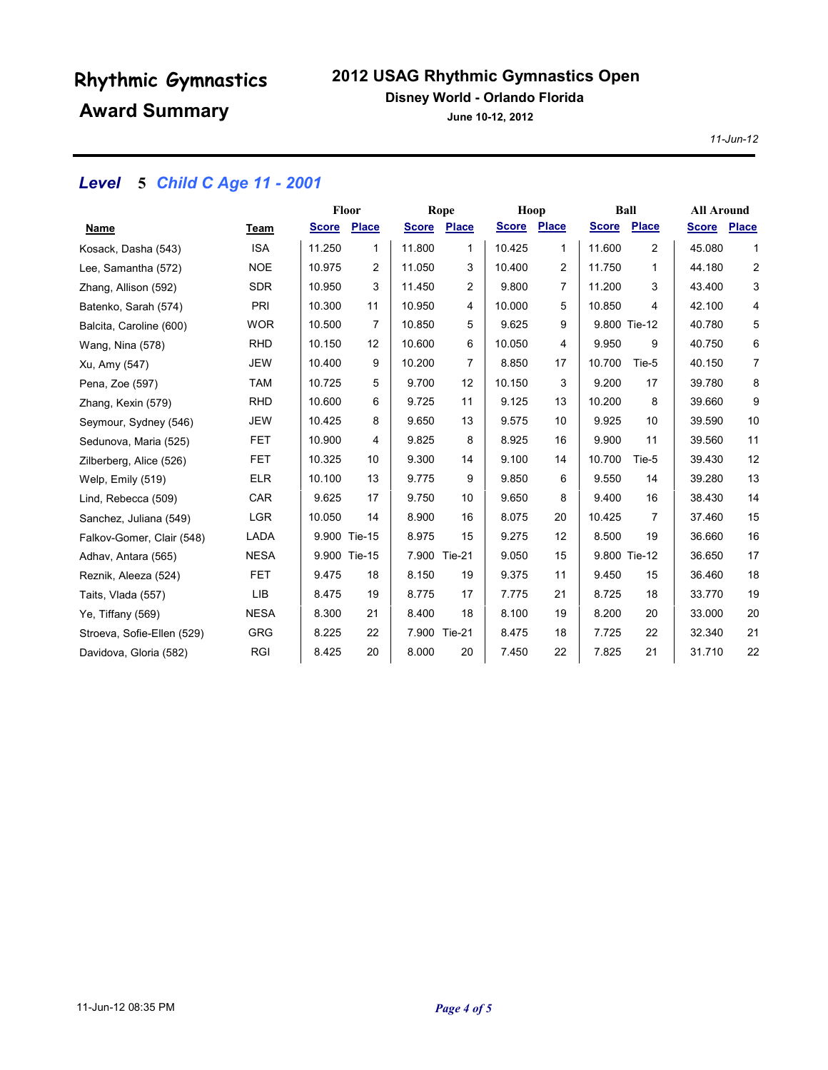## **2012 USAG Rhythmic Gymnastics Open**

#### **Disney World - Orlando Florida**

**June 10-12, 2012**

*11-Jun-12*

## *Level* **5** *Child C Age 11 - 2001*

|                            |             | <b>Floor</b> |              | Rope         |               | Hoop         |       | Ball         |              | <b>All Around</b> |                |
|----------------------------|-------------|--------------|--------------|--------------|---------------|--------------|-------|--------------|--------------|-------------------|----------------|
| Name                       | Team        | <b>Score</b> | <b>Place</b> | <b>Score</b> | Place         | <b>Score</b> | Place | <b>Score</b> | <b>Place</b> | <b>Score</b>      | <b>Place</b>   |
| Kosack, Dasha (543)        | <b>ISA</b>  | 11.250       | 1            | 11.800       | 1             | 10.425       | 1     | 11.600       | 2            | 45.080            | 1              |
| Lee, Samantha (572)        | <b>NOE</b>  | 10.975       | 2            | 11.050       | 3             | 10.400       | 2     | 11.750       | $\mathbf{1}$ | 44.180            | $\overline{c}$ |
| Zhang, Allison (592)       | <b>SDR</b>  | 10.950       | 3            | 11.450       | 2             | 9.800        | 7     | 11.200       | 3            | 43.400            | 3              |
| Batenko, Sarah (574)       | PRI         | 10.300       | 11           | 10.950       | 4             | 10.000       | 5     | 10.850       | 4            | 42.100            | 4              |
| Balcita, Caroline (600)    | <b>WOR</b>  | 10.500       | 7            | 10.850       | 5             | 9.625        | 9     |              | 9.800 Tie-12 | 40.780            | 5              |
| Wang, Nina (578)           | <b>RHD</b>  | 10.150       | 12           | 10.600       | 6             | 10.050       | 4     | 9.950        | 9            | 40.750            | 6              |
| Xu, Amy (547)              | <b>JEW</b>  | 10.400       | 9            | 10.200       | 7             | 8.850        | 17    | 10.700       | Tie-5        | 40.150            | $\overline{7}$ |
| Pena, Zoe (597)            | <b>TAM</b>  | 10.725       | 5            | 9.700        | 12            | 10.150       | 3     | 9.200        | 17           | 39.780            | 8              |
| Zhang, Kexin (579)         | <b>RHD</b>  | 10.600       | 6            | 9.725        | 11            | 9.125        | 13    | 10.200       | 8            | 39.660            | 9              |
| Seymour, Sydney (546)      | <b>JEW</b>  | 10.425       | 8            | 9.650        | 13            | 9.575        | 10    | 9.925        | 10           | 39.590            | 10             |
| Sedunova, Maria (525)      | <b>FET</b>  | 10.900       | 4            | 9.825        | 8             | 8.925        | 16    | 9.900        | 11           | 39.560            | 11             |
| Zilberberg, Alice (526)    | <b>FET</b>  | 10.325       | 10           | 9.300        | 14            | 9.100        | 14    | 10.700       | Tie-5        | 39.430            | 12             |
| Welp, Emily (519)          | <b>ELR</b>  | 10.100       | 13           | 9.775        | 9             | 9.850        | 6     | 9.550        | 14           | 39.280            | 13             |
| Lind, Rebecca (509)        | CAR         | 9.625        | 17           | 9.750        | 10            | 9.650        | 8     | 9.400        | 16           | 38.430            | 14             |
| Sanchez, Juliana (549)     | <b>LGR</b>  | 10.050       | 14           | 8.900        | 16            | 8.075        | 20    | 10.425       | 7            | 37.460            | 15             |
| Falkov-Gomer, Clair (548)  | LADA        |              | 9.900 Tie-15 | 8.975        | 15            | 9.275        | 12    | 8.500        | 19           | 36.660            | 16             |
| Adhav, Antara (565)        | <b>NESA</b> |              | 9.900 Tie-15 |              | 7.900 Tie-21  | 9.050        | 15    |              | 9.800 Tie-12 | 36.650            | 17             |
| Reznik, Aleeza (524)       | <b>FET</b>  | 9.475        | 18           | 8.150        | 19            | 9.375        | 11    | 9.450        | 15           | 36.460            | 18             |
| Taits, Vlada (557)         | LIB         | 8.475        | 19           | 8.775        | 17            | 7.775        | 21    | 8.725        | 18           | 33.770            | 19             |
| Ye, Tiffany (569)          | <b>NESA</b> | 8.300        | 21           | 8.400        | 18            | 8.100        | 19    | 8.200        | 20           | 33.000            | 20             |
| Stroeva, Sofie-Ellen (529) | <b>GRG</b>  | 8.225        | 22           | 7.900        | <b>Tie-21</b> | 8.475        | 18    | 7.725        | 22           | 32.340            | 21             |
| Davidova, Gloria (582)     | <b>RGI</b>  | 8.425        | 20           | 8.000        | 20            | 7.450        | 22    | 7.825        | 21           | 31.710            | 22             |